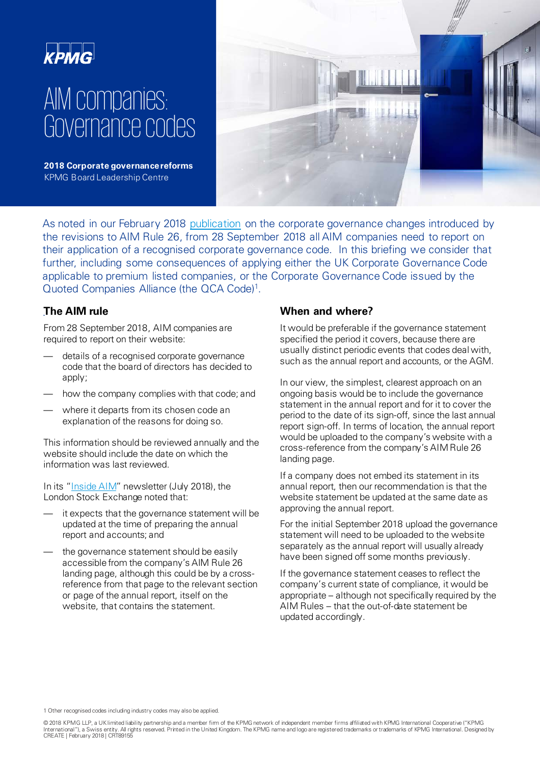# AIM companies: Governance codes

**2018 Corporate governance reforms**  KPMG Board Leadership Centre



As noted in our February 2018 [publication](https://assets.kpmg.com/content/dam/kpmg/uk/pdf/2018/06/blc-governance-in-aim-companies.pdf) on the corporate governance changes introduced by the revisions to AIM Rule 26, from 28 September 2018 all AIM companies need to report on their application of a recognised corporate governance code. In this briefing we consider that further, including some consequences of applying either the UK Corporate Governance Code applicable to premium listed companies, or the Corporate Governance Code issued by the Quoted Companies Alliance (the QCA Code)1.

# . **The AIM rule**

From 28 September 2018, AIM companies are required to report on their website:

- details of a recognised corporate governance code that the board of directors has decided to apply;
- how the company complies with that code; and
- where it departs from its chosen code an explanation of the reasons for doing so.

This information should be reviewed annually and the website should include the date on which the information was last reviewed.

In its ["Inside AIM"](https://www.londonstockexchange.com/companies-and-advisors/aim/advisers/inside-aim-newsletter/preparation-for-corporate-governance-changes.pdf) newsletter (July 2018), the London Stock Exchange noted that:

- it expects that the governance statement will be updated at the time of preparing the annual report and accounts; and
- the governance statement should be easily accessible from the company's AIM Rule 26 landing page, although this could be by a crossreference from that page to the relevant section or page of the annual report, itself on the website, that contains the statement.

### **When and where?**

It would be preferable if the governance statement specified the period it covers, because there are usually distinct periodic events that codes deal with, such as the annual report and accounts, or the AGM.

In our view, the simplest, clearest approach on an ongoing basis would be to include the governance statement in the annual report and for it to cover the period to the date of its sign-off, since the last annual report sign-off. In terms of location, the annual report would be uploaded to the company's website with a cross-reference from the company's AIM Rule 26 landing page.

If a company does not embed its statement in its annual report, then our recommendation is that the website statement be updated at the same date as approving the annual report.

For the initial September 2018 upload the governance statement will need to be uploaded to the website separately as the annual report will usually already have been signed off some months previously.

If the governance statement ceases to reflect the company's current state of compliance, it would be appropriate – although not specifically required by the AIM Rules – that the out-of-date statement be updated accordingly.

1 Other recognised codes including industry codes may also be applied.

© 2018 KPMG LLP, a UK limited liability partnership and a member firm of the KPMG network of independent member firms affiliated with KPMG International Cooperative ("KPMG International"), a Swiss entity. All rights reserved. Printed in the United Kingdom. The KPMG name and logo are registered trademarks or trademarks of KPMG International. Designed by CREATE | February 2018 | CRT89155